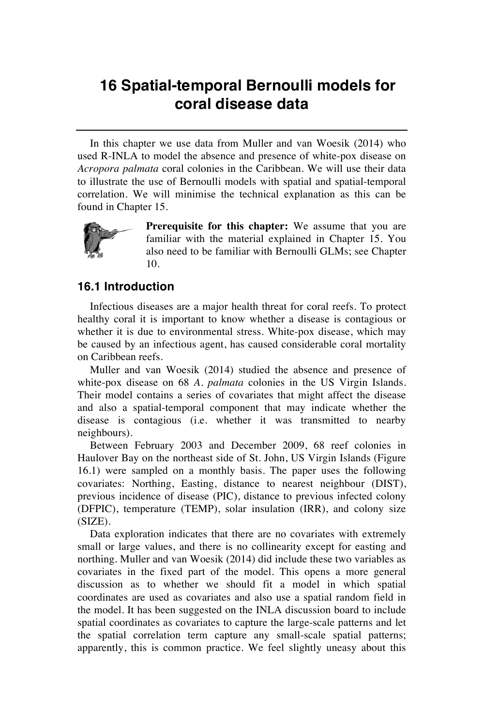## **16 Spatial-temporal Bernoulli models for coral disease data**

In this chapter we use data from Muller and van Woesik (2014) who used R-INLA to model the absence and presence of white-pox disease on *Acropora palmata* coral colonies in the Caribbean. We will use their data to illustrate the use of Bernoulli models with spatial and spatial-temporal correlation. We will minimise the technical explanation as this can be found in Chapter 15.



**Prerequisite for this chapter:** We assume that you are familiar with the material explained in Chapter 15. You also need to be familiar with Bernoulli GLMs; see Chapter 10.

## **16.1 Introduction**

Infectious diseases are a major health threat for coral reefs. To protect healthy coral it is important to know whether a disease is contagious or whether it is due to environmental stress. White-pox disease, which may be caused by an infectious agent, has caused considerable coral mortality on Caribbean reefs.

Muller and van Woesik (2014) studied the absence and presence of white-pox disease on 68 *A. palmata* colonies in the US Virgin Islands. Their model contains a series of covariates that might affect the disease and also a spatial-temporal component that may indicate whether the disease is contagious (i.e. whether it was transmitted to nearby neighbours).

Between February 2003 and December 2009, 68 reef colonies in Haulover Bay on the northeast side of St. John, US Virgin Islands (Figure 16.1) were sampled on a monthly basis. The paper uses the following covariates: Northing, Easting, distance to nearest neighbour (DIST), previous incidence of disease (PIC), distance to previous infected colony (DFPIC), temperature (TEMP), solar insulation (IRR), and colony size (SIZE).

Data exploration indicates that there are no covariates with extremely small or large values, and there is no collinearity except for easting and northing. Muller and van Woesik (2014) did include these two variables as covariates in the fixed part of the model. This opens a more general discussion as to whether we should fit a model in which spatial coordinates are used as covariates and also use a spatial random field in the model. It has been suggested on the INLA discussion board to include spatial coordinates as covariates to capture the large-scale patterns and let the spatial correlation term capture any small-scale spatial patterns; apparently, this is common practice. We feel slightly uneasy about this